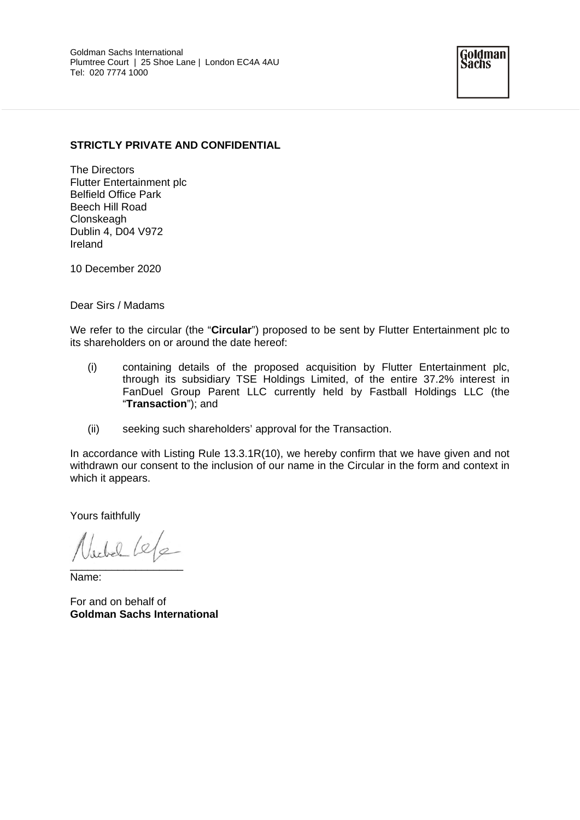## **STRICTLY PRIVATE AND CONFIDENTIAL**

The Directors Flutter Entertainment plc Belfield Office Park Beech Hill Road **Clonskeagh** Dublin 4, D04 V972 Ireland

10 December 2020

Dear Sirs / Madams

We refer to the circular (the "**Circular**") proposed to be sent by Flutter Entertainment plc to its shareholders on or around the date hereof:

- (i) containing details of the proposed acquisition by Flutter Entertainment plc, through its subsidiary TSE Holdings Limited, of the entire 37.2% interest in FanDuel Group Parent LLC currently held by Fastball Holdings LLC (the "**Transaction**"); and
- (ii) seeking such shareholders' approval for the Transaction.

In accordance with Listing Rule 13.3.1R(10), we hereby confirm that we have given and not withdrawn our consent to the inclusion of our name in the Circular in the form and context in which it appears.

Yours faithfully

 $1.10$  /e/e  $\overline{\phantom{a}}$ 

Name:

For and on behalf of **Goldman Sachs International**